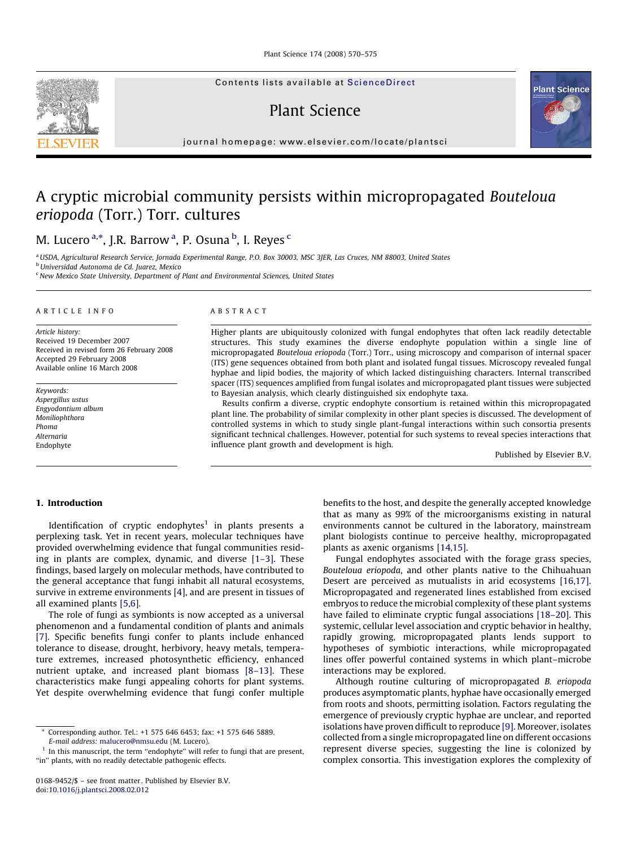Contents lists available at [ScienceDirect](http://www.sciencedirect.com/science/journal/01689452)

Plant Science

journal homepage: www.elsevier.com/locate/plantsci

# A cryptic microbial community persists within micropropagated Bouteloua eriopoda (Torr.) Torr. cultures

M. Lucero <sup>a,\*</sup>, J.R. Barrow <sup>a</sup>, P. Osuna <sup>b</sup>, I. Reyes <sup>c</sup>

a USDA, Agricultural Research Service, Jornada Experimental Range, P.O. Box 30003, MSC 3JER, Las Cruces, NM 88003, United States

<sup>b</sup> Universidad Autonoma de Cd. Juarez, Mexico

<sup>c</sup> New Mexico State University, Department of Plant and Environmental Sciences, United States

#### ARTICLE INFO

Article history: Received 19 December 2007 Received in revised form 26 February 2008 Accepted 29 February 2008 Available online 16 March 2008

Keywords: Aspergillus ustus Engyodontium album Moniliophthora Phoma Alternaria Endophyte

#### ABSTRACT

Higher plants are ubiquitously colonized with fungal endophytes that often lack readily detectable structures. This study examines the diverse endophyte population within a single line of micropropagated Bouteloua eriopoda (Torr.) Torr., using microscopy and comparison of internal spacer (ITS) gene sequences obtained from both plant and isolated fungal tissues. Microscopy revealed fungal hyphae and lipid bodies, the majority of which lacked distinguishing characters. Internal transcribed spacer (ITS) sequences amplified from fungal isolates and micropropagated plant tissues were subjected to Bayesian analysis, which clearly distinguished six endophyte taxa.

Results confirm a diverse, cryptic endophyte consortium is retained within this micropropagated plant line. The probability of similar complexity in other plant species is discussed. The development of controlled systems in which to study single plant-fungal interactions within such consortia presents significant technical challenges. However, potential for such systems to reveal species interactions that influence plant growth and development is high.

Published by Elsevier B.V.

**Plant Science** 

# 1. Introduction

Identification of cryptic endophytes<sup>1</sup> in plants presents a perplexing task. Yet in recent years, molecular techniques have provided overwhelming evidence that fungal communities residing in plants are complex, dynamic, and diverse [\[1–3\]](#page-5-0). These findings, based largely on molecular methods, have contributed to the general acceptance that fungi inhabit all natural ecosystems, survive in extreme environments [\[4\],](#page-5-0) and are present in tissues of all examined plants [\[5,6\].](#page-5-0)

The role of fungi as symbionts is now accepted as a universal phenomenon and a fundamental condition of plants and animals [\[7\].](#page-5-0) Specific benefits fungi confer to plants include enhanced tolerance to disease, drought, herbivory, heavy metals, temperature extremes, increased photosynthetic efficiency, enhanced nutrient uptake, and increased plant biomass [\[8–13\]](#page-5-0). These characteristics make fungi appealing cohorts for plant systems. Yet despite overwhelming evidence that fungi confer multiple benefits to the host, and despite the generally accepted knowledge that as many as 99% of the microorganisms existing in natural environments cannot be cultured in the laboratory, mainstream plant biologists continue to perceive healthy, micropropagated plants as axenic organisms [\[14,15\].](#page-5-0)

Fungal endophytes associated with the forage grass species, Bouteloua eriopoda, and other plants native to the Chihuahuan Desert are perceived as mutualists in arid ecosystems [\[16,17\].](#page-5-0) Micropropagated and regenerated lines established from excised embryos to reduce the microbial complexity of these plant systems have failed to eliminate cryptic fungal associations [\[18–20\]](#page-5-0). This systemic, cellular level association and cryptic behavior in healthy, rapidly growing, micropropagated plants lends support to hypotheses of symbiotic interactions, while micropropagated lines offer powerful contained systems in which plant–microbe interactions may be explored.

Although routine culturing of micropropagated B. eriopoda produces asymptomatic plants, hyphae have occasionally emerged from roots and shoots, permitting isolation. Factors regulating the emergence of previously cryptic hyphae are unclear, and reported isolations have proven difficult to reproduce [\[9\].](#page-5-0) Moreover, isolates collected from a single micropropagated line on different occasions represent diverse species, suggesting the line is colonized by complex consortia. This investigation explores the complexity of



<sup>\*</sup> Corresponding author. Tel.: +1 575 646 6453; fax: +1 575 646 5889. E-mail address: [malucero@nmsu.edu](mailto:malucero@nmsu.edu) (M. Lucero).

 $1$  In this manuscript, the term "endophyte" will refer to fungi that are present, "in" plants, with no readily detectable pathogenic effects.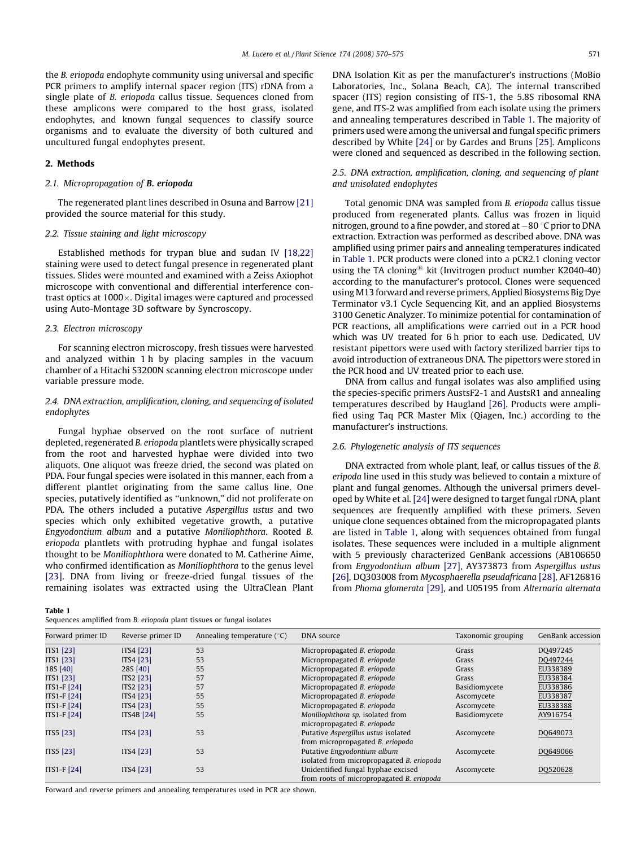<span id="page-1-0"></span>the B. eriopoda endophyte community using universal and specific PCR primers to amplify internal spacer region (ITS) rDNA from a single plate of B. eriopoda callus tissue. Sequences cloned from these amplicons were compared to the host grass, isolated endophytes, and known fungal sequences to classify source organisms and to evaluate the diversity of both cultured and uncultured fungal endophytes present.

## 2. Methods

#### 2.1. Micropropagation of B. eriopoda

The regenerated plant lines described in Osuna and Barrow [\[21\]](#page-5-0) provided the source material for this study.

## 2.2. Tissue staining and light microscopy

Established methods for trypan blue and sudan IV [\[18,22\]](#page-5-0) staining were used to detect fungal presence in regenerated plant tissues. Slides were mounted and examined with a Zeiss Axiophot microscope with conventional and differential interference contrast optics at 1000 $\times$ . Digital images were captured and processed using Auto-Montage 3D software by Syncroscopy.

## 2.3. Electron microscopy

For scanning electron microscopy, fresh tissues were harvested and analyzed within 1 h by placing samples in the vacuum chamber of a Hitachi S3200N scanning electron microscope under variable pressure mode.

## 2.4. DNA extraction, amplification, cloning, and sequencing of isolated endophytes

Fungal hyphae observed on the root surface of nutrient depleted, regenerated B. eriopoda plantlets were physically scraped from the root and harvested hyphae were divided into two aliquots. One aliquot was freeze dried, the second was plated on PDA. Four fungal species were isolated in this manner, each from a different plantlet originating from the same callus line. One species, putatively identified as ''unknown,'' did not proliferate on PDA. The others included a putative Aspergillus ustus and two species which only exhibited vegetative growth, a putative Engyodontium album and a putative Moniliophthora. Rooted B. eriopoda plantlets with protruding hyphae and fungal isolates thought to be Moniliophthora were donated to M. Catherine Aime, who confirmed identification as Moniliophthora to the genus level [\[23\]](#page-5-0). DNA from living or freeze-dried fungal tissues of the remaining isolates was extracted using the UltraClean Plant

Table 1

Sequences amplified from B. eriopoda plant tissues or fungal isolates

DNA Isolation Kit as per the manufacturer's instructions (MoBio Laboratories, Inc., Solana Beach, CA). The internal transcribed spacer (ITS) region consisting of ITS-1, the 5.8S ribosomal RNA gene, and ITS-2 was amplified from each isolate using the primers and annealing temperatures described in Table 1. The majority of primers used were among the universal and fungal specific primers described by White [\[24\]](#page-5-0) or by Gardes and Bruns [\[25\]](#page-5-0). Amplicons were cloned and sequenced as described in the following section.

## 2.5. DNA extraction, amplification, cloning, and sequencing of plant and unisolated endophytes

Total genomic DNA was sampled from B. eriopoda callus tissue produced from regenerated plants. Callus was frozen in liquid nitrogen, ground to a fine powder, and stored at  $-80$  °C prior to DNA extraction. Extraction was performed as described above. DNA was amplified using primer pairs and annealing temperatures indicated in Table 1. PCR products were cloned into a pCR2.1 cloning vector using the TA cloning<sup>®</sup> kit (Invitrogen product number K2040-40) according to the manufacturer's protocol. Clones were sequenced using M13 forward and reverse primers, Applied Biosystems Big Dye Terminator v3.1 Cycle Sequencing Kit, and an applied Biosystems 3100 Genetic Analyzer. To minimize potential for contamination of PCR reactions, all amplifications were carried out in a PCR hood which was UV treated for 6 h prior to each use. Dedicated, UV resistant pipettors were used with factory sterilized barrier tips to avoid introduction of extraneous DNA. The pipettors were stored in the PCR hood and UV treated prior to each use.

DNA from callus and fungal isolates was also amplified using the species-specific primers AustsF2-1 and AustsR1 and annealing temperatures described by Haugland [\[26\].](#page-5-0) Products were amplified using Taq PCR Master Mix (Qiagen, Inc.) according to the manufacturer's instructions.

## 2.6. Phylogenetic analysis of ITS sequences

DNA extracted from whole plant, leaf, or callus tissues of the B. eripoda line used in this study was believed to contain a mixture of plant and fungal genomes. Although the universal primers developed by White et al. [\[24\]](#page-5-0) were designed to target fungal rDNA, plant sequences are frequently amplified with these primers. Seven unique clone sequences obtained from the micropropagated plants are listed in Table 1, along with sequences obtained from fungal isolates. These sequences were included in a multiple alignment with 5 previously characterized GenBank accessions (AB106650 from Engyodontium album [\[27\]](#page-5-0), AY373873 from Aspergillus ustus [\[26\],](#page-5-0) DQ303008 from Mycosphaerella pseudafricana [\[28\]](#page-5-0), AF126816 from Phoma glomerata [\[29\]](#page-5-0), and U05195 from Alternaria alternata

| Forward primer ID | Reverse primer ID | Annealing temperature $(°C)$ | DNA source                                                                      | Taxonomic grouping | <b>GenBank accession</b> |
|-------------------|-------------------|------------------------------|---------------------------------------------------------------------------------|--------------------|--------------------------|
| ITS1 [23]         | ITS4 [23]         | 53                           | Micropropagated B. eriopoda                                                     | Grass              | DO497245                 |
| ITS1 [23]         | ITS4 [23]         | 53                           | Micropropagated B. eriopoda                                                     | Grass              | DQ497244                 |
| 18S [40]          | 28S [40]          | 55                           | Micropropagated B. eriopoda                                                     | Grass              | EU338389                 |
| ITS1 [23]         | ITS2 [23]         | 57                           | Micropropagated B. eriopoda                                                     | Grass              | EU338384                 |
| ITS1-F [24]       | <b>ITS2</b> [23]  | 57                           | Micropropagated B. eriopoda                                                     | Basidiomycete      | EU338386                 |
| ITS1-F $[24]$     | ITS4 $[23]$       | 55                           | Micropropagated B. eriopoda                                                     | Ascomycete         | EU338387                 |
| ITS1-F [24]       | ITS4 [23]         | 55                           | Micropropagated B. eriopoda                                                     | Ascomycete         | EU338388                 |
| ITS1-F [24]       | <b>ITS4B [24]</b> | 55                           | Moniliophthora sp. isolated from<br>micropropagated B. eriopoda                 | Basidiomycete      | AY916754                 |
| ITS5 [23]         | ITS4 [23]         | 53                           | Putative Aspergillus ustus isolated<br>from micropropagated B. eriopoda         | Ascomycete         | DQ649073                 |
| ITS5 [23]         | ITS4 [23]         | 53                           | Putative Engyodontium album<br>isolated from micropropagated B. eriopoda        | Ascomycete         | DQ649066                 |
| ITS1-F [24]       | ITS4 [23]         | 53                           | Unidentified fungal hyphae excised<br>from roots of micropropagated B. eriopoda | Ascomycete         | DQ520628                 |

Forward and reverse primers and annealing temperatures used in PCR are shown.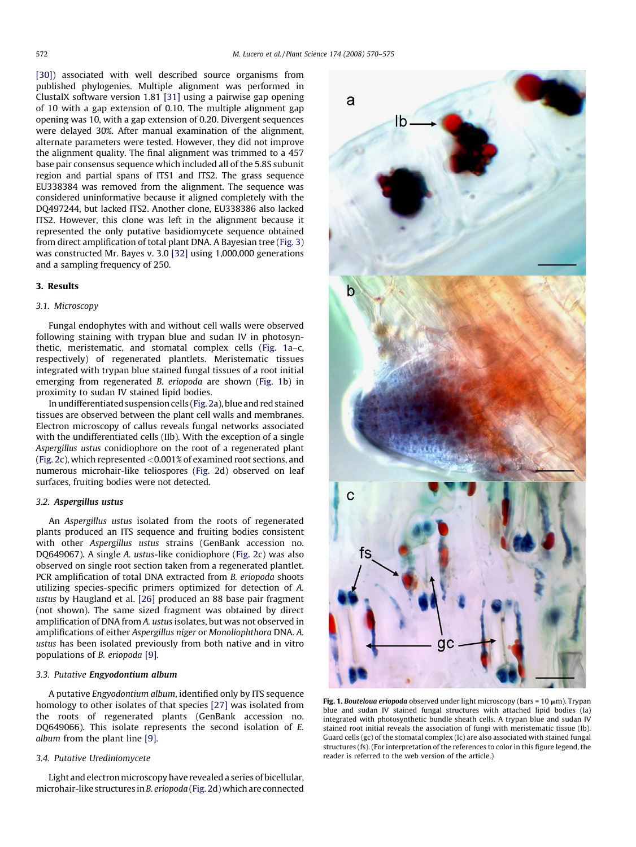[\[30\]](#page-5-0)) associated with well described source organisms from published phylogenies. Multiple alignment was performed in ClustalX software version 1.81 [\[31\]](#page-5-0) using a pairwise gap opening of 10 with a gap extension of 0.10. The multiple alignment gap opening was 10, with a gap extension of 0.20. Divergent sequences were delayed 30%. After manual examination of the alignment, alternate parameters were tested. However, they did not improve the alignment quality. The final alignment was trimmed to a 457 base pair consensus sequence which included all of the 5.8S subunit region and partial spans of ITS1 and ITS2. The grass sequence EU338384 was removed from the alignment. The sequence was considered uninformative because it aligned completely with the DQ497244, but lacked ITS2. Another clone, EU338386 also lacked ITS2. However, this clone was left in the alignment because it represented the only putative basidiomycete sequence obtained from direct amplification of total plant DNA. A Bayesian tree [\(Fig. 3\)](#page-4-0) was constructed Mr. Bayes v. 3.0 [\[32\]](#page-5-0) using 1,000,000 generations and a sampling frequency of 250.

## 3. Results

# 3.1. Microscopy

Fungal endophytes with and without cell walls were observed following staining with trypan blue and sudan IV in photosynthetic, meristematic, and stomatal complex cells (Fig. 1a–c, respectively) of regenerated plantlets. Meristematic tissues integrated with trypan blue stained fungal tissues of a root initial emerging from regenerated B. eriopoda are shown (Fig. 1b) in proximity to sudan IV stained lipid bodies.

In undifferentiated suspension cells [\(Fig. 2](#page-3-0)a), blue and red stained tissues are observed between the plant cell walls and membranes. Electron microscopy of callus reveals fungal networks associated with the undifferentiated cells (IIb). With the exception of a single Aspergillus ustus conidiophore on the root of a regenerated plant ([Fig. 2](#page-3-0)c), which represented <0.001% of examined root sections, and numerous microhair-like teliospores ([Fig. 2d](#page-3-0)) observed on leaf surfaces, fruiting bodies were not detected.

## 3.2. Aspergillus ustus

An Aspergillus ustus isolated from the roots of regenerated plants produced an ITS sequence and fruiting bodies consistent with other Aspergillus ustus strains (GenBank accession no. DQ649067). A single A. ustus-like conidiophore [\(Fig. 2c](#page-3-0)) was also observed on single root section taken from a regenerated plantlet. PCR amplification of total DNA extracted from B. eriopoda shoots utilizing species-specific primers optimized for detection of A. ustus by Haugland et al. [\[26\]](#page-5-0) produced an 88 base pair fragment (not shown). The same sized fragment was obtained by direct amplification of DNA from A. ustus isolates, but was not observed in amplifications of either Aspergillus niger or Monoliophthora DNA. A. ustus has been isolated previously from both native and in vitro populations of B. eriopoda [\[9\].](#page-5-0)

## 3.3. Putative Engyodontium album

A putative Engyodontium album, identified only by ITS sequence homology to other isolates of that species [\[27\]](#page-5-0) was isolated from the roots of regenerated plants (GenBank accession no. DQ649066). This isolate represents the second isolation of E. album from the plant line [\[9\]](#page-5-0).

## 3.4. Putative Urediniomycete

Light and electron microscopy have revealed a series of bicellular, microhair-like structures in B. eriopoda [\(Fig. 2](#page-3-0)d) which are connected



Fig. 1. Bouteloua eriopoda observed under light microscopy (bars =  $10 \mu m$ ). Trypan blue and sudan IV stained fungal structures with attached lipid bodies (Ia) integrated with photosynthetic bundle sheath cells. A trypan blue and sudan IV stained root initial reveals the association of fungi with meristematic tissue (Ib). Guard cells  $(gc)$  of the stomatal complex  $(Ic)$  are also associated with stained fungal structures (fs). (For interpretation of the references to color in this figure legend, the reader is referred to the web version of the article.)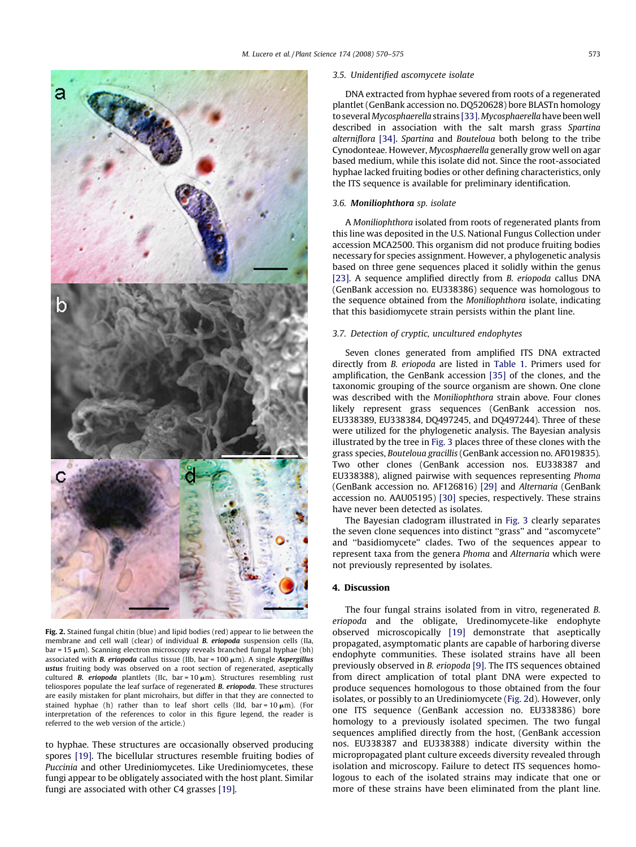<span id="page-3-0"></span>

Fig. 2. Stained fungal chitin (blue) and lipid bodies (red) appear to lie between the membrane and cell wall (clear) of individual B. eriopoda suspension cells (IIa,  $bar = 15 \mu m$ ). Scanning electron microscopy reveals branched fungal hyphae (bh) associated with B. eriopoda callus tissue (IIb, bar =  $100 \mu m$ ). A single Aspergillus ustus fruiting body was observed on a root section of regenerated, aseptically cultured B. eriopoda plantlets (IIc, bar =  $10 \mu m$ ). Structures resembling rust teliospores populate the leaf surface of regenerated **B. eriopoda**. These structures are easily mistaken for plant microhairs, but differ in that they are connected to stained hyphae (h) rather than to leaf short cells (IId, bar =  $10 \mu m$ ). (For interpretation of the references to color in this figure legend, the reader is referred to the web version of the article.)

to hyphae. These structures are occasionally observed producing spores [\[19\].](#page-5-0) The bicellular structures resemble fruiting bodies of Puccinia and other Urediniomycetes. Like Urediniomycetes, these fungi appear to be obligately associated with the host plant. Similar fungi are associated with other C4 grasses [\[19\].](#page-5-0)

## 3.5. Unidentified ascomycete isolate

DNA extracted from hyphae severed from roots of a regenerated plantlet (GenBank accession no. DQ520628) bore BLASTn homology to several Mycosphaerella strains [\[33\]](#page-5-0). Mycosphaerella have been well described in association with the salt marsh grass Spartina alterniflora [\[34\].](#page-5-0) Spartina and Bouteloua both belong to the tribe Cynodonteae. However, Mycosphaerella generally grow well on agar based medium, while this isolate did not. Since the root-associated hyphae lacked fruiting bodies or other defining characteristics, only the ITS sequence is available for preliminary identification.

## 3.6. Moniliophthora sp. isolate

A Moniliophthora isolated from roots of regenerated plants from this line was deposited in the U.S. National Fungus Collection under accession MCA2500. This organism did not produce fruiting bodies necessary for species assignment. However, a phylogenetic analysis based on three gene sequences placed it solidly within the genus [\[23\].](#page-5-0) A sequence amplified directly from *B. eriopoda* callus DNA (GenBank accession no. EU338386) sequence was homologous to the sequence obtained from the Moniliophthora isolate, indicating that this basidiomycete strain persists within the plant line.

## 3.7. Detection of cryptic, uncultured endophytes

Seven clones generated from amplified ITS DNA extracted directly from B. eriopoda are listed in [Table 1.](#page-1-0) Primers used for amplification, the GenBank accession [\[35\]](#page-5-0) of the clones, and the taxonomic grouping of the source organism are shown. One clone was described with the Moniliophthora strain above. Four clones likely represent grass sequences (GenBank accession nos. EU338389, EU338384, DQ497245, and DQ497244). Three of these were utilized for the phylogenetic analysis. The Bayesian analysis illustrated by the tree in [Fig. 3](#page-4-0) places three of these clones with the grass species, Bouteloua gracillis (GenBank accession no. AF019835). Two other clones (GenBank accession nos. EU338387 and EU338388), aligned pairwise with sequences representing Phoma (GenBank accession no. AF126816) [\[29\]](#page-5-0) and Alternaria (GenBank accession no. AAU05195) [\[30\]](#page-5-0) species, respectively. These strains have never been detected as isolates.

The Bayesian cladogram illustrated in [Fig. 3](#page-4-0) clearly separates the seven clone sequences into distinct ''grass'' and ''ascomycete'' and ''basidiomycete'' clades. Two of the sequences appear to represent taxa from the genera Phoma and Alternaria which were not previously represented by isolates.

# 4. Discussion

The four fungal strains isolated from in vitro, regenerated B. eriopoda and the obligate, Uredinomycete-like endophyte observed microscopically [\[19\]](#page-5-0) demonstrate that aseptically propagated, asymptomatic plants are capable of harboring diverse endophyte communities. These isolated strains have all been previously observed in B. eriopoda [\[9\].](#page-5-0) The ITS sequences obtained from direct amplication of total plant DNA were expected to produce sequences homologous to those obtained from the four isolates, or possibly to an Urediniomycete (Fig. 2d). However, only one ITS sequence (GenBank accession no. EU338386) bore homology to a previously isolated specimen. The two fungal sequences amplified directly from the host, (GenBank accession nos. EU338387 and EU338388) indicate diversity within the micropropagated plant culture exceeds diversity revealed through isolation and microscopy. Failure to detect ITS sequences homologous to each of the isolated strains may indicate that one or more of these strains have been eliminated from the plant line.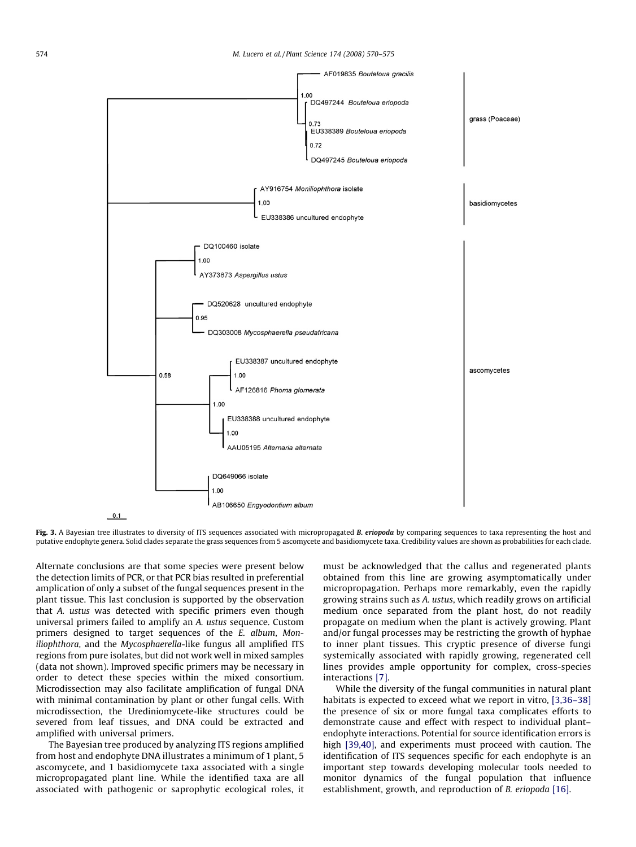<span id="page-4-0"></span>

Fig. 3. A Bayesian tree illustrates to diversity of ITS sequences associated with micropropagated B. eriopoda by comparing sequences to taxa representing the host and putative endophyte genera. Solid clades separate the grass sequences from 5 ascomycete and basidiomycete taxa. Credibility values are shown as probabilities for each clade.

Alternate conclusions are that some species were present below the detection limits of PCR, or that PCR bias resulted in preferential amplication of only a subset of the fungal sequences present in the plant tissue. This last conclusion is supported by the observation that A. ustus was detected with specific primers even though universal primers failed to amplify an A. ustus sequence. Custom primers designed to target sequences of the E. album, Moniliophthora, and the Mycosphaerella-like fungus all amplified ITS regions from pure isolates, but did not work well in mixed samples (data not shown). Improved specific primers may be necessary in order to detect these species within the mixed consortium. Microdissection may also facilitate amplification of fungal DNA with minimal contamination by plant or other fungal cells. With microdissection, the Urediniomycete-like structures could be severed from leaf tissues, and DNA could be extracted and amplified with universal primers.

The Bayesian tree produced by analyzing ITS regions amplified from host and endophyte DNA illustrates a minimum of 1 plant, 5 ascomycete, and 1 basidiomycete taxa associated with a single micropropagated plant line. While the identified taxa are all associated with pathogenic or saprophytic ecological roles, it must be acknowledged that the callus and regenerated plants obtained from this line are growing asymptomatically under micropropagation. Perhaps more remarkably, even the rapidly growing strains such as A. ustus, which readily grows on artificial medium once separated from the plant host, do not readily propagate on medium when the plant is actively growing. Plant and/or fungal processes may be restricting the growth of hyphae to inner plant tissues. This cryptic presence of diverse fungi systemically associated with rapidly growing, regenerated cell lines provides ample opportunity for complex, cross-species interactions [\[7\]](#page-5-0).

While the diversity of the fungal communities in natural plant habitats is expected to exceed what we report in vitro, [\[3,36–38\]](#page-5-0) the presence of six or more fungal taxa complicates efforts to demonstrate cause and effect with respect to individual plant– endophyte interactions. Potential for source identification errors is high [\[39,40\],](#page-5-0) and experiments must proceed with caution. The identification of ITS sequences specific for each endophyte is an important step towards developing molecular tools needed to monitor dynamics of the fungal population that influence establishment, growth, and reproduction of B. eriopoda [\[16\]](#page-5-0).